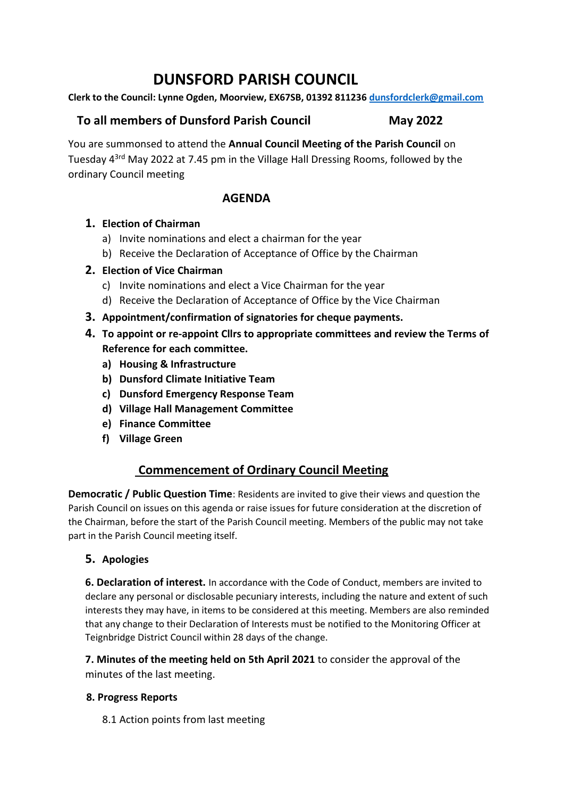# **DUNSFORD PARISH COUNCIL**

**Clerk to the Council: Lynne Ogden, Moorview, EX67SB, 01392 811236 [dunsfordclerk@gmail.com](mailto:dunsfordclerk@gmail.com)**

## **To all members of Dunsford Parish Council May 2022**

You are summonsed to attend the **Annual Council Meeting of the Parish Council** on Tuesday 43rd May 2022 at 7.45 pm in the Village Hall Dressing Rooms, followed by the ordinary Council meeting

## **AGENDA**

## **1. Election of Chairman**

- a) Invite nominations and elect a chairman for the year
- b) Receive the Declaration of Acceptance of Office by the Chairman

## **2. Election of Vice Chairman**

- c) Invite nominations and elect a Vice Chairman for the year
- d) Receive the Declaration of Acceptance of Office by the Vice Chairman
- **3. Appointment/confirmation of signatories for cheque payments.**
- **4. To appoint or re-appoint Cllrs to appropriate committees and review the Terms of Reference for each committee.**
	- **a) Housing & Infrastructure**
	- **b) Dunsford Climate Initiative Team**
	- **c) Dunsford Emergency Response Team**
	- **d) Village Hall Management Committee**
	- **e) Finance Committee**
	- **f) Village Green**

## **Commencement of Ordinary Council Meeting**

**Democratic / Public Question Time**: Residents are invited to give their views and question the Parish Council on issues on this agenda or raise issues for future consideration at the discretion of the Chairman, before the start of the Parish Council meeting. Members of the public may not take part in the Parish Council meeting itself.

## **5. Apologies**

**6. Declaration of interest.** In accordance with the Code of Conduct, members are invited to declare any personal or disclosable pecuniary interests, including the nature and extent of such interests they may have, in items to be considered at this meeting. Members are also reminded that any change to their Declaration of Interests must be notified to the Monitoring Officer at Teignbridge District Council within 28 days of the change.

**7. Minutes of the meeting held on 5th April 2021** to consider the approval of the minutes of the last meeting.

#### **8. Progress Reports**

8.1 Action points from last meeting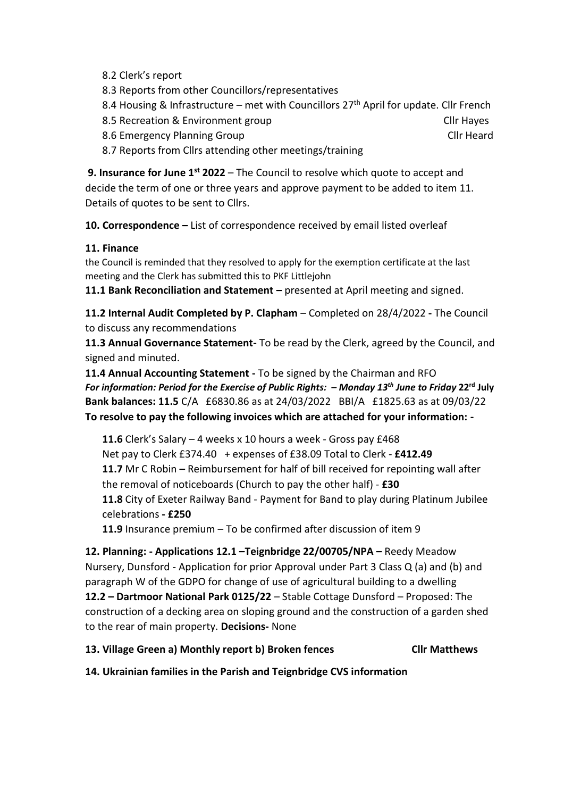- 8.2 Clerk's report
- 8.3 Reports from other Councillors/representatives
- 8.4 Housing & Infrastructure met with Councillors  $27<sup>th</sup>$  April for update. Cllr French
- 8.5 Recreation & Environment group Click Click Click Click Click Click Click Click Click Click Click Click Click

8.6 Emergency Planning Group Club Club Heard Club Heard

8.7 Reports from Cllrs attending other meetings/training

**9. Insurance for June 1st 2022** – The Council to resolve which quote to accept and decide the term of one or three years and approve payment to be added to item 11. Details of quotes to be sent to Cllrs.

**10. Correspondence –** List of correspondence received by email listed overleaf

#### **11. Finance**

the Council is reminded that they resolved to apply for the exemption certificate at the last meeting and the Clerk has submitted this to PKF Littlejohn

**11.1 Bank Reconciliation and Statement –** presented at April meeting and signed.

**11.2 Internal Audit Completed by P. Clapham** – Completed on 28/4/2022 **-** The Council to discuss any recommendations

**11.3 Annual Governance Statement-** To be read by the Clerk, agreed by the Council, and signed and minuted.

**11.4 Annual Accounting Statement -** To be signed by the Chairman and RFO *For information: Period for the Exercise of Public Rights: – Monday 13 th June to Friday* **22 rd July Bank balances: 11.5** C/A £6830.86 as at 24/03/2022 BBI/A £1825.63 as at 09/03/22 **To resolve to pay the following invoices which are attached for your information: -** 

**11.6** Clerk's Salary – 4 weeks x 10 hours a week - Gross pay £468 Net pay to Clerk £374.40 + expenses of £38.09 Total to Clerk - **£412.49 11.7** Mr C Robin **–** Reimbursement for half of bill received for repointing wall after the removal of noticeboards (Church to pay the other half) - **£30 11.8** City of Exeter Railway Band - Payment for Band to play during Platinum Jubilee celebrations **- £250**

**11.9** Insurance premium – To be confirmed after discussion of item 9

**12. Planning: - Applications 12.1 –Teignbridge 22/00705/NPA –** Reedy Meadow Nursery, Dunsford - Application for prior Approval under Part 3 Class Q (a) and (b) and paragraph W of the GDPO for change of use of agricultural building to a dwelling **12.2 – Dartmoor National Park 0125/22** – Stable Cottage Dunsford – Proposed: The construction of a decking area on sloping ground and the construction of a garden shed to the rear of main property. **Decisions-** None

#### **13. Village Green a) Monthly report b) Broken fences Cllr Matthews**

**14. Ukrainian families in the Parish and Teignbridge CVS information**